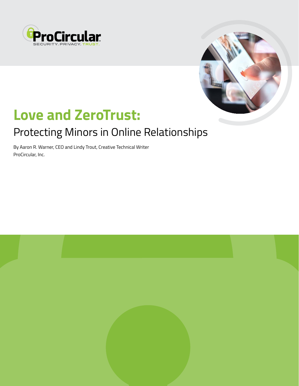



# **Love and ZeroTrust:**

# Protecting Minors in Online Relationships

By Aaron R. Warner, CEO and Lindy Trout, Creative Technical Writer ProCircular, Inc.

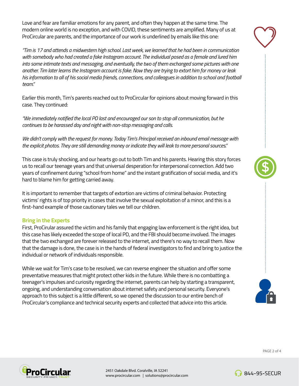Love and fear are familiar emotions for any parent, and often they happen at the same time. The modern online world is no exception, and with COVID, these sentiments are amplified. Many of us at ProCircular are parents, and the importance of our work is underlined by emails like this one:

*"Tim is 17 and attends a midwestern high school. Last week, we learned that he had been in communication with somebody who had created a fake Instagram account. The individual posed as a female and lured him into some intimate texts and messaging, and eventually, the two of them exchanged some pictures with one another. Tim later learns the Instagram account is fake. Now they are trying to extort him for money or leak his information to all of his social media friends, connections, and colleagues in addition to school and football team."*

Earlier this month, Tim's parents reached out to ProCircular for opinions about moving forward in this case. They continued:

*"We immediately notified the local PD last and encouraged our son to stop all communication, but he continues to be harassed day and night with non-stop messaging and calls.*

*We didn't comply with the request for money. Today Tim's Principal received an inbound email message with the explicit photos. They are still demanding money or indicate they will leak to more personal sources."*

This case is truly shocking, and our hearts go out to both Tim and his parents. Hearing this story forces us to recall our teenage years and that universal desperation for interpersonal connection. Add two years of confinement during "school from home" and the instant gratification of social media, and it's hard to blame him for getting carried away.

It is important to remember that targets of extortion are victims of criminal behavior. Protecting victims' rights is of top priority in cases that involve the sexual exploitation of a minor, and this is a first-hand example of those cautionary tales we tell our children.

#### **Bring in the Experts**

First, ProCirular assured the victim and his family that engaging law enforcement is the right idea, but this case has likely exceeded the scope of local PD, and the FBI should become involved. The images that the two exchanged are forever released to the internet, and there's no way to recall them. Now that the damage is done, the case is in the hands of federal investigators to find and bring to justice the individual or network of individuals responsible.

While we wait for Tim's case to be resolved, we can reverse engineer the situation and offer some preventative measures that might protect other kids in the future. While there is no combatting a teenager's impulses and curiosity regarding the internet, parents can help by starting a transparent, ongoing, and understanding conversation about internet safety and personal security. Everyone's approach to this subject is a little different, so we opened the discussion to our entire bench of ProCircular's compliance and technical security experts and collected that advice into this article.









PAGE 2 of 4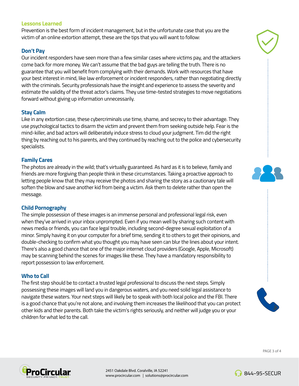### **Lessons Learned**

Prevention is the best form of incident management, but in the unfortunate case that you are the victim of an online extortion attempt, these are the tips that you will want to follow:

## **Don't Pay**

Our incident responders have seen more than a few similar cases where victims pay, and the attackers come back for more money. We can't assume that the bad guys are telling the truth. There is no guarantee that you will benefit from complying with their demands. Work with resources that have your best interest in mind, like law enforcement or incident responders, rather than negotiating directly with the criminals. Security professionals have the insight and experience to assess the severity and estimate the validity of the threat actor's claims. They use time-tested strategies to move negotiations forward without giving up information unnecessarily.

### **Stay Calm**

Like in any extortion case, these cybercriminals use time, shame, and secrecy to their advantage. They use psychological tactics to disarm the victim and prevent them from seeking outside help. Fear is the mind-killer, and bad actors will deliberately induce stress to cloud your judgment. Tim did the right thing by reaching out to his parents, and they continued by reaching out to the police and cybersecurity specialists.

### **Family Cares**

The photos are already in the wild; that's virtually guaranteed. As hard as it is to believe, family and friends are more forgiving than people think in these circumstances. Taking a proactive approach to letting people know that they may receive the photos and sharing the story as a cautionary tale will soften the blow and save another kid from being a victim. Ask them to delete rather than open the message.

#### **Child Pornography**

The simple possession of these images is an immense personal and professional legal risk, even when they've arrived in your inbox unprompted. Even if you mean well by sharing such content with news media or friends, you can face legal trouble, including second-degree sexual exploitation of a minor. Simply having it on your computer for a brief time, sending it to others to get their opinions, and double-checking to confirm what you thought you may have seen can blur the lines about your intent. There's also a good chance that one of the major internet cloud providers (Google, Apple, Microsoft) may be scanning behind the scenes for images like these. They have a mandatory responsibility to report possession to law enforcement.

#### **Who to Call**

The first step should be to contact a trusted legal professional to discuss the next steps. Simply possessing these images will land you in dangerous waters, and you need solid legal assistance to navigate these waters. Your next steps will likely be to speak with both local police and the FBI. There is a good chance that you're not alone, and involving them increases the likelihood that you can protect other kids and their parents. Both take the victim's rights seriously, and neither will judge you or your children for what led to the call.







2451 Oakdale Blvd. Coralville, IA 52241 www.procircular.com | solutions@procircular.com



**6** 844-95-SECUR